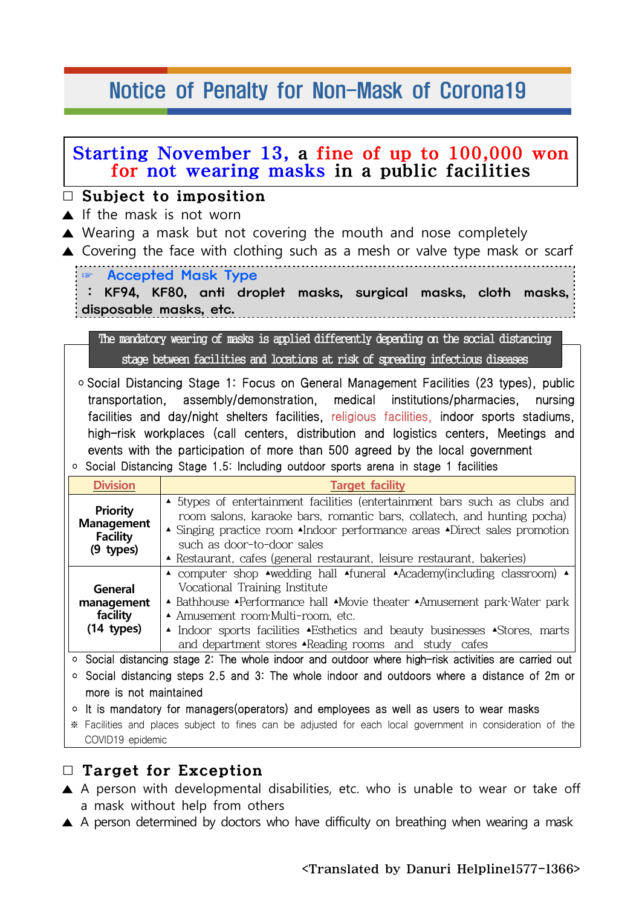## Notice of Penalty for Non-Mask of Corona19

| Starting November 13, a fine of up to 100,000 won<br>for not wearing masks in a public facilities<br>$\Box$ Subject to imposition<br>$\triangle$ If the mask is not worn<br>$\triangle$ Wearing a mask but not covering the mouth and nose completely<br>▲ Covering the face with clothing such as a mesh or valve type mask or scarf |                                                                                                                                                                                                                                                                                                                                                                                                                                                                                                                                         |
|---------------------------------------------------------------------------------------------------------------------------------------------------------------------------------------------------------------------------------------------------------------------------------------------------------------------------------------|-----------------------------------------------------------------------------------------------------------------------------------------------------------------------------------------------------------------------------------------------------------------------------------------------------------------------------------------------------------------------------------------------------------------------------------------------------------------------------------------------------------------------------------------|
|                                                                                                                                                                                                                                                                                                                                       |                                                                                                                                                                                                                                                                                                                                                                                                                                                                                                                                         |
|                                                                                                                                                                                                                                                                                                                                       | The mandatory wearing of masks is applied differently depending on the social distancing<br>stage between facilities and locations at risk of spreading infectious diseases                                                                                                                                                                                                                                                                                                                                                             |
| $\circ$                                                                                                                                                                                                                                                                                                                               | ○ Social Distancing Stage 1: Focus on General Management Facilities (23 types), public<br>transportation, assembly/demonstration, medical institutions/pharmacies, nursing<br>facilities and day/night shelters facilities, religious facilities, indoor sports stadiums,<br>high-risk workplaces (call centers, distribution and logistics centers, Meetings and<br>events with the participation of more than 500 agreed by the local government<br>Social Distancing Stage 1.5: Including outdoor sports arena in stage 1 facilities |
| <b>Division</b>                                                                                                                                                                                                                                                                                                                       | <b>Target facility</b>                                                                                                                                                                                                                                                                                                                                                                                                                                                                                                                  |
| <b>Priority</b><br><b>Management</b><br><b>Facility</b><br>(9 types)                                                                                                                                                                                                                                                                  | ▲ 5types of entertainment facilities (entertainment bars such as clubs and<br>room salons, karaoke bars, romantic bars, collatech, and hunting pocha)<br>• Singing practice room •Indoor performance areas •Direct sales promotion<br>such as door-to-door sales<br>▲ Restaurant, cafes (general restaurant, leisure restaurant, bakeries)                                                                                                                                                                                              |
| <b>General</b><br>management<br>facility<br>$(14$ types)                                                                                                                                                                                                                                                                              | A computer shop Awedding hall Afuneral Academy(including classroom) A<br>Vocational Training Institute<br>A Bathhouse APerformance hall AMovie theater AAmusement park Water park<br>A Amusement room Multi-room, etc.<br>▲ Indoor sports facilities ▲ Esthetics and beauty businesses ▲ Stores, marts<br>and department stores •Reading rooms and study cafes                                                                                                                                                                          |
| $\circ$                                                                                                                                                                                                                                                                                                                               | Social distancing stage 2: The whole indoor and outdoor where high-risk activities are carried out                                                                                                                                                                                                                                                                                                                                                                                                                                      |
| $\circ$                                                                                                                                                                                                                                                                                                                               | Social distancing steps 2.5 and 3: The whole indoor and outdoors where a distance of 2m or                                                                                                                                                                                                                                                                                                                                                                                                                                              |
| more is not maintained                                                                                                                                                                                                                                                                                                                |                                                                                                                                                                                                                                                                                                                                                                                                                                                                                                                                         |
| $\circ$<br>COVID19 epidemic                                                                                                                                                                                                                                                                                                           | It is mandatory for managers (operators) and employees as well as users to wear masks<br>* Facilities and places subject to fines can be adjusted for each local government in consideration of the                                                                                                                                                                                                                                                                                                                                     |

## □ Target for Exception

- ▲ A person with developmental disabilities, etc. who is unable to wear or take off a mask without help from others
- ▲ A person determined by doctors who have difficulty on breathing when wearing a mask